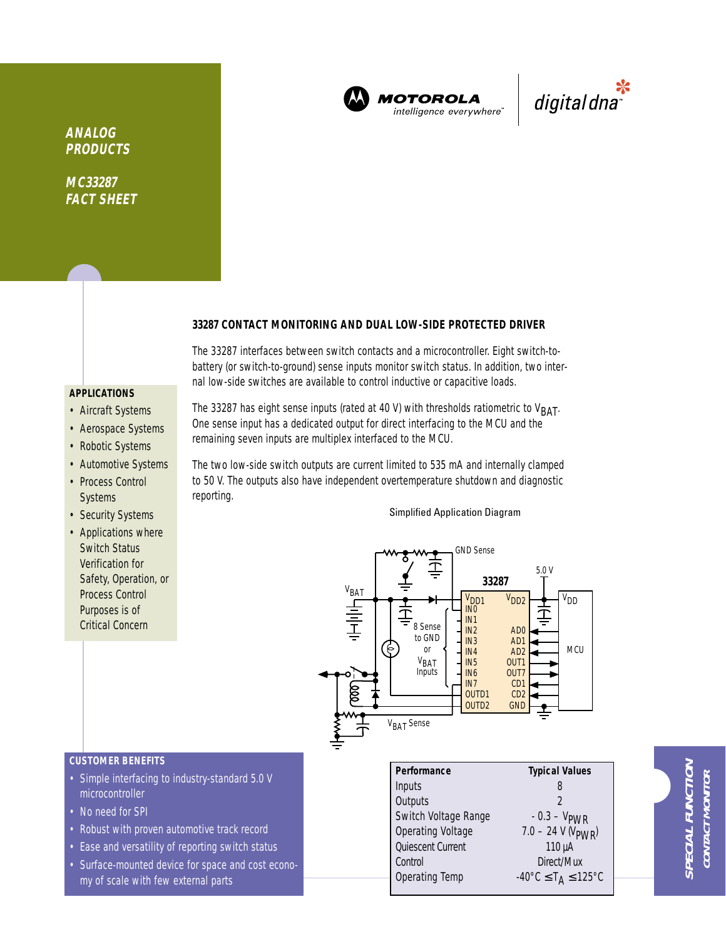

**MOTOROLA** intelligence everywhere"

\*<br>"digital dna

**ANALOG PRODUCTS**

**MC33287 FACT SHEET**

## **33287 CONTACT MONITORING AND DUAL LOW-SIDE PROTECTED DRIVER**

The 33287 interfaces between switch contacts and a microcontroller. Eight switch-tobattery (or switch-to-ground) sense inputs monitor switch status. In addition, two internal low-side switches are available to control inductive or capacitive loads.

# **APPLICATIONS**

- Aircraft Systems
- Aerospace Systems
- Robotic Systems
- Automotive Systems • Process Control **Systems**
- Security Systems
- Applications where Switch Status Verification for Safety, Operation, or Process Control Purposes is of Critical Concern

The 33287 has eight sense inputs (rated at 40 V) with thresholds ratiometric to  $V_{\text{BAT}}$ . One sense input has a dedicated output for direct interfacing to the MCU and the remaining seven inputs are multiplex interfaced to the MCU.

The two low-side switch outputs are current limited to 535 mA and internally clamped to 50 V. The outputs also have independent overtemperature shutdown and diagnostic reporting.

### Simplified Application Diagram



### **CUSTOMER BENEFITS**

- Simple interfacing to industry-standard 5.0 V microcontroller
- No need for SPI
- Robust with proven automotive track record
- Ease and versatility of reporting switch status
- Surface-mounted device for space and cost economy of scale with few external parts

| Performance              | <b>Typical Values</b>                                         |  |  |
|--------------------------|---------------------------------------------------------------|--|--|
| Inputs                   |                                                               |  |  |
| Outputs                  | 2                                                             |  |  |
| Switch Voltage Range     | $-0.3 - V_{PWR}$                                              |  |  |
| <b>Operating Voltage</b> | $7.0 - 24 \text{ V} (V_{\text{PWR}})$                         |  |  |
| Quiescent Current        | $110 \mu A$                                                   |  |  |
| Control                  | Direct/Mux                                                    |  |  |
| Operating Temp           | $-40^{\circ}$ C $\leq$ T <sub>A</sub> $\leq$ 125 $^{\circ}$ C |  |  |
|                          |                                                               |  |  |

**SPECIAL FUNCTION** PECIAL FUNCTIOI **CONTACT MONITOR** CONTACT MONITO